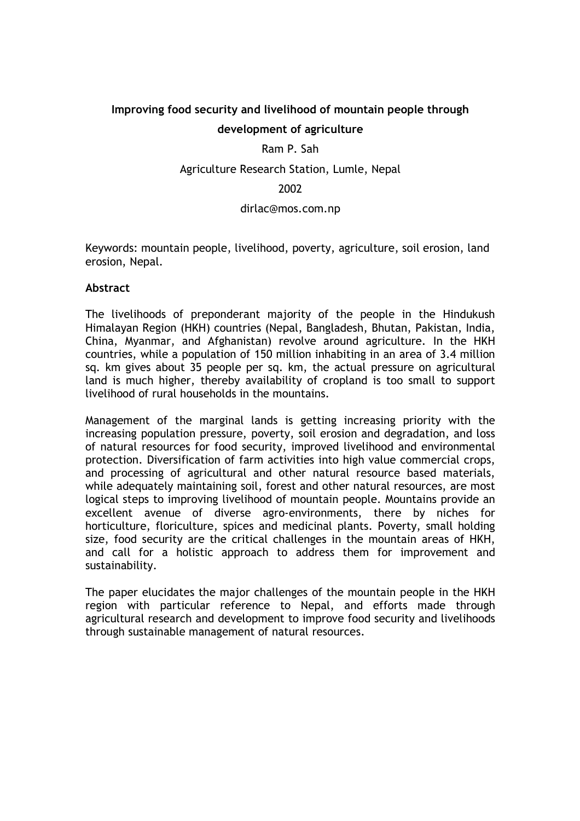# **Improving food security and livelihood of mountain people through development of agriculture**

# Ram P. Sah

Agriculture Research Station, Lumle, Nepal

### 2002

#### dirlac@mos.com.np

Keywords: mountain people, livelihood, poverty, agriculture, soil erosion, land erosion, Nepal.

### **Abstract**

The livelihoods of preponderant majority of the people in the Hindukush Himalayan Region (HKH) countries (Nepal, Bangladesh, Bhutan, Pakistan, India, China, Myanmar, and Afghanistan) revolve around agriculture. In the HKH countries, while a population of 150 million inhabiting in an area of 3.4 million sq. km gives about 35 people per sq. km, the actual pressure on agricultural land is much higher, thereby availability of cropland is too small to support livelihood of rural households in the mountains.

Management of the marginal lands is getting increasing priority with the increasing population pressure, poverty, soil erosion and degradation, and loss of natural resources for food security, improved livelihood and environmental protection. Diversification of farm activities into high value commercial crops, and processing of agricultural and other natural resource based materials, while adequately maintaining soil, forest and other natural resources, are most logical steps to improving livelihood of mountain people. Mountains provide an excellent avenue of diverse agro-environments, there by niches for horticulture, floriculture, spices and medicinal plants. Poverty, small holding size, food security are the critical challenges in the mountain areas of HKH, and call for a holistic approach to address them for improvement and sustainability.

The paper elucidates the major challenges of the mountain people in the HKH region with particular reference to Nepal, and efforts made through agricultural research and development to improve food security and livelihoods through sustainable management of natural resources.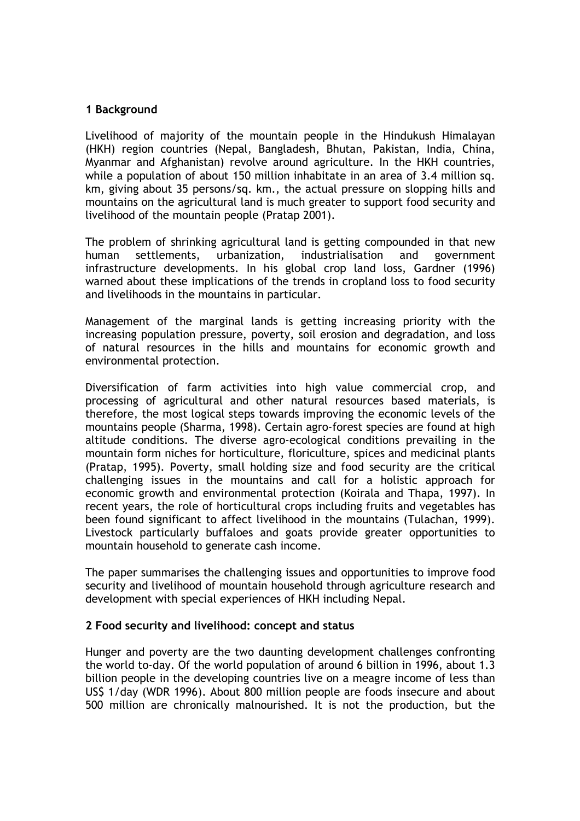### **1 Background**

Livelihood of majority of the mountain people in the Hindukush Himalayan (HKH) region countries (Nepal, Bangladesh, Bhutan, Pakistan, India, China, Myanmar and Afghanistan) revolve around agriculture. In the HKH countries, while a population of about 150 million inhabitate in an area of 3.4 million sq. km, giving about 35 persons/sq. km., the actual pressure on slopping hills and mountains on the agricultural land is much greater to support food security and livelihood of the mountain people (Pratap 2001).

The problem of shrinking agricultural land is getting compounded in that new human settlements, urbanization, industrialisation and government infrastructure developments. In his global crop land loss, Gardner (1996) warned about these implications of the trends in cropland loss to food security and livelihoods in the mountains in particular.

Management of the marginal lands is getting increasing priority with the increasing population pressure, poverty, soil erosion and degradation, and loss of natural resources in the hills and mountains for economic growth and environmental protection.

Diversification of farm activities into high value commercial crop, and processing of agricultural and other natural resources based materials, is therefore, the most logical steps towards improving the economic levels of the mountains people (Sharma, 1998). Certain agro-forest species are found at high altitude conditions. The diverse agro-ecological conditions prevailing in the mountain form niches for horticulture, floriculture, spices and medicinal plants (Pratap, 1995). Poverty, small holding size and food security are the critical challenging issues in the mountains and call for a holistic approach for economic growth and environmental protection (Koirala and Thapa, 1997). In recent years, the role of horticultural crops including fruits and vegetables has been found significant to affect livelihood in the mountains (Tulachan, 1999). Livestock particularly buffaloes and goats provide greater opportunities to mountain household to generate cash income.

The paper summarises the challenging issues and opportunities to improve food security and livelihood of mountain household through agriculture research and development with special experiences of HKH including Nepal.

### **2 Food security and livelihood: concept and status**

Hunger and poverty are the two daunting development challenges confronting the world to-day. Of the world population of around 6 billion in 1996, about 1.3 billion people in the developing countries live on a meagre income of less than US\$ 1/day (WDR 1996). About 800 million people are foods insecure and about 500 million are chronically malnourished. It is not the production, but the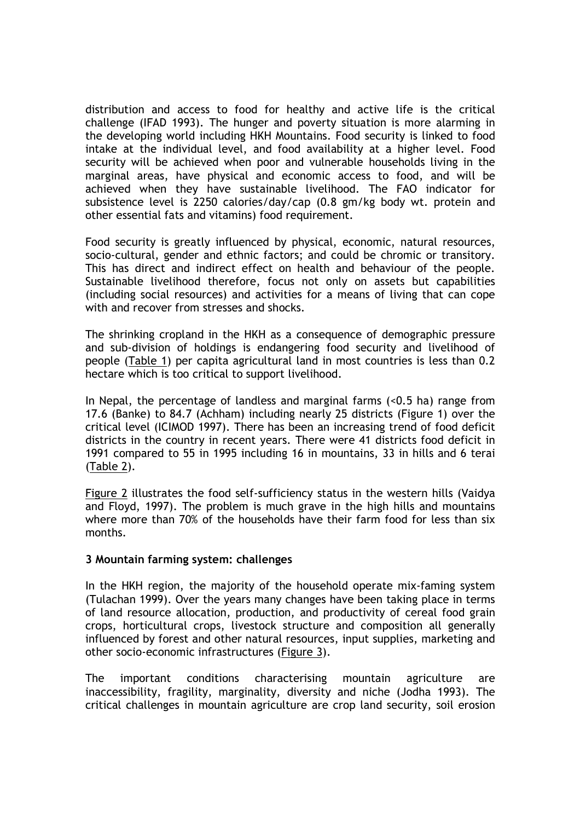distribution and access to food for healthy and active life is the critical challenge (IFAD 1993). The hunger and poverty situation is more alarming in the developing world including HKH Mountains. Food security is linked to food intake at the individual level, and food availability at a higher level. Food security will be achieved when poor and vulnerable households living in the marginal areas, have physical and economic access to food, and will be achieved when they have sustainable livelihood. The FAO indicator for subsistence level is 2250 calories/day/cap (0.8 gm/kg body wt. protein and other essential fats and vitamins) food requirement.

Food security is greatly influenced by physical, economic, natural resources, socio-cultural, gender and ethnic factors; and could be chromic or transitory. This has direct and indirect effect on health and behaviour of the people. Sustainable livelihood therefore, focus not only on assets but capabilities (including social resources) and activities for a means of living that can cope with and recover from stresses and shocks.

The shrinking cropland in the HKH as a consequence of demographic pressure and sub-division of holdings is endangering food security and livelihood of people (Table 1) per capita agricultural land in most countries is less than 0.2 hectare which is too critical to support livelihood.

In Nepal, the percentage of landless and marginal farms (<0.5 ha) range from 17.6 (Banke) to 84.7 (Achham) including nearly 25 districts (Figure 1) over the critical level (ICIMOD 1997). There has been an increasing trend of food deficit districts in the country in recent years. There were 41 districts food deficit in 1991 compared to 55 in 1995 including 16 in mountains, 33 in hills and 6 terai (Table 2).

Figure 2 illustrates the food self-sufficiency status in the western hills (Vaidya and Floyd, 1997). The problem is much grave in the high hills and mountains where more than 70% of the households have their farm food for less than six months.

# **3 Mountain farming system: challenges**

In the HKH region, the majority of the household operate mix-faming system (Tulachan 1999). Over the years many changes have been taking place in terms of land resource allocation, production, and productivity of cereal food grain crops, horticultural crops, livestock structure and composition all generally influenced by forest and other natural resources, input supplies, marketing and other socio-economic infrastructures (Figure 3).

The important conditions characterising mountain agriculture are inaccessibility, fragility, marginality, diversity and niche (Jodha 1993). The critical challenges in mountain agriculture are crop land security, soil erosion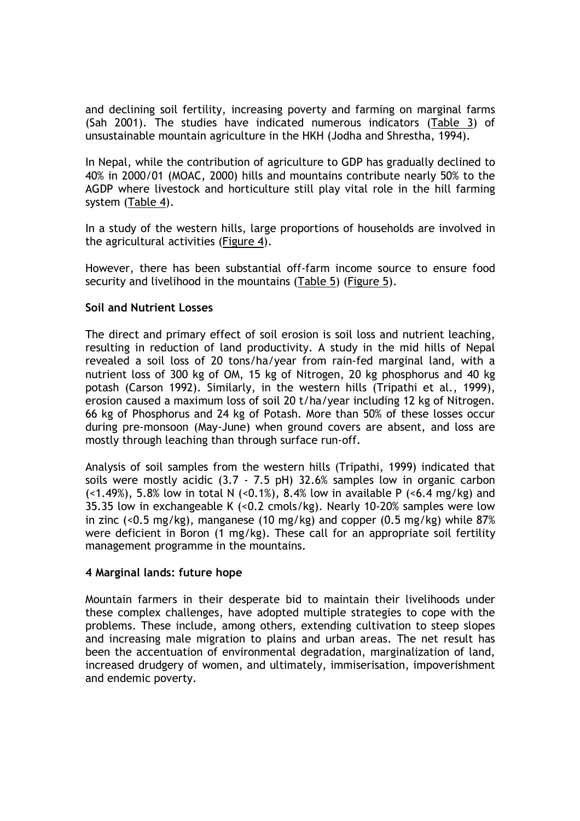and declining soil fertility, increasing poverty and farming on marginal farms (Sah 2001). The studies have indicated numerous indicators (Table 3) of unsustainable mountain agriculture in the HKH (Jodha and Shrestha, 1994).

In Nepal, while the contribution of agriculture to GDP has gradually declined to 40% in 2000/01 (MOAC, 2000) hills and mountains contribute nearly 50% to the AGDP where livestock and horticulture still play vital role in the hill farming system (Table 4).

In a study of the western hills, large proportions of households are involved in the agricultural activities (Figure 4).

However, there has been substantial off-farm income source to ensure food security and livelihood in the mountains (Table 5) (Figure 5).

### **Soil and Nutrient Losses**

The direct and primary effect of soil erosion is soil loss and nutrient leaching, resulting in reduction of land productivity. A study in the mid hills of Nepal revealed a soil loss of 20 tons/ha/year from rain-fed marginal land, with a nutrient loss of 300 kg of OM, 15 kg of Nitrogen, 20 kg phosphorus and 40 kg potash (Carson 1992). Similarly, in the western hills (Tripathi et al., 1999), erosion caused a maximum loss of soil 20 t/ha/year including 12 kg of Nitrogen. 66 kg of Phosphorus and 24 kg of Potash. More than 50% of these losses occur during pre-monsoon (May-June) when ground covers are absent, and loss are mostly through leaching than through surface run-off.

Analysis of soil samples from the western hills (Tripathi, 1999) indicated that soils were mostly acidic (3.7 - 7.5 pH) 32.6% samples low in organic carbon (<1.49%), 5.8% low in total N (<0.1%), 8.4% low in available P (<6.4 mg/kg) and 35.35 low in exchangeable K (<0.2 cmols/kg). Nearly 10-20% samples were low in zinc (<0.5 mg/kg), manganese (10 mg/kg) and copper (0.5 mg/kg) while 87% were deficient in Boron (1 mg/kg). These call for an appropriate soil fertility management programme in the mountains.

#### **4 Marginal lands: future hope**

Mountain farmers in their desperate bid to maintain their livelihoods under these complex challenges, have adopted multiple strategies to cope with the problems. These include, among others, extending cultivation to steep slopes and increasing male migration to plains and urban areas. The net result has been the accentuation of environmental degradation, marginalization of land, increased drudgery of women, and ultimately, immiserisation, impoverishment and endemic poverty.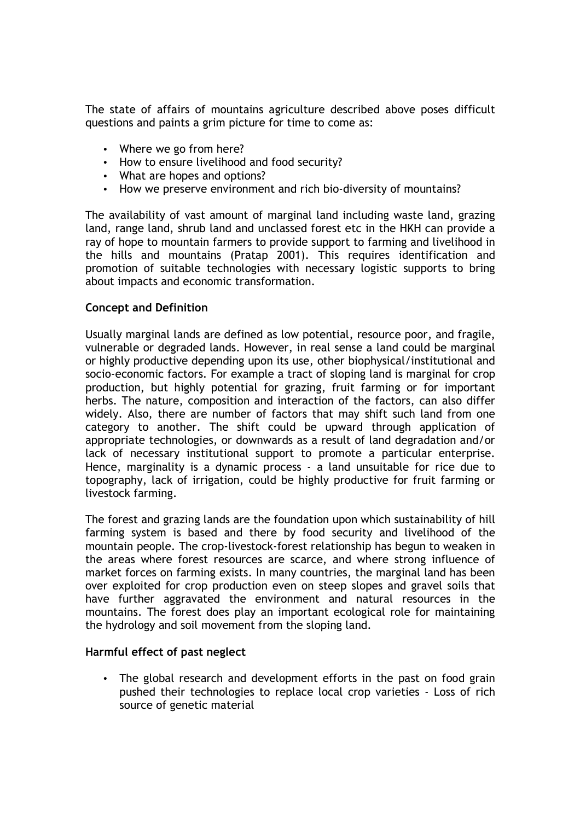The state of affairs of mountains agriculture described above poses difficult questions and paints a grim picture for time to come as:

- Where we go from here?
- How to ensure livelihood and food security?
- What are hopes and options?
- How we preserve environment and rich bio-diversity of mountains?

The availability of vast amount of marginal land including waste land, grazing land, range land, shrub land and unclassed forest etc in the HKH can provide a ray of hope to mountain farmers to provide support to farming and livelihood in the hills and mountains (Pratap 2001). This requires identification and promotion of suitable technologies with necessary logistic supports to bring about impacts and economic transformation.

### **Concept and Definition**

Usually marginal lands are defined as low potential, resource poor, and fragile, vulnerable or degraded lands. However, in real sense a land could be marginal or highly productive depending upon its use, other biophysical/institutional and socio-economic factors. For example a tract of sloping land is marginal for crop production, but highly potential for grazing, fruit farming or for important herbs. The nature, composition and interaction of the factors, can also differ widely. Also, there are number of factors that may shift such land from one category to another. The shift could be upward through application of appropriate technologies, or downwards as a result of land degradation and/or lack of necessary institutional support to promote a particular enterprise. Hence, marginality is a dynamic process - a land unsuitable for rice due to topography, lack of irrigation, could be highly productive for fruit farming or livestock farming.

The forest and grazing lands are the foundation upon which sustainability of hill farming system is based and there by food security and livelihood of the mountain people. The crop-livestock-forest relationship has begun to weaken in the areas where forest resources are scarce, and where strong influence of market forces on farming exists. In many countries, the marginal land has been over exploited for crop production even on steep slopes and gravel soils that have further aggravated the environment and natural resources in the mountains. The forest does play an important ecological role for maintaining the hydrology and soil movement from the sloping land.

#### **Harmful effect of past neglect**

• The global research and development efforts in the past on food grain pushed their technologies to replace local crop varieties - Loss of rich source of genetic material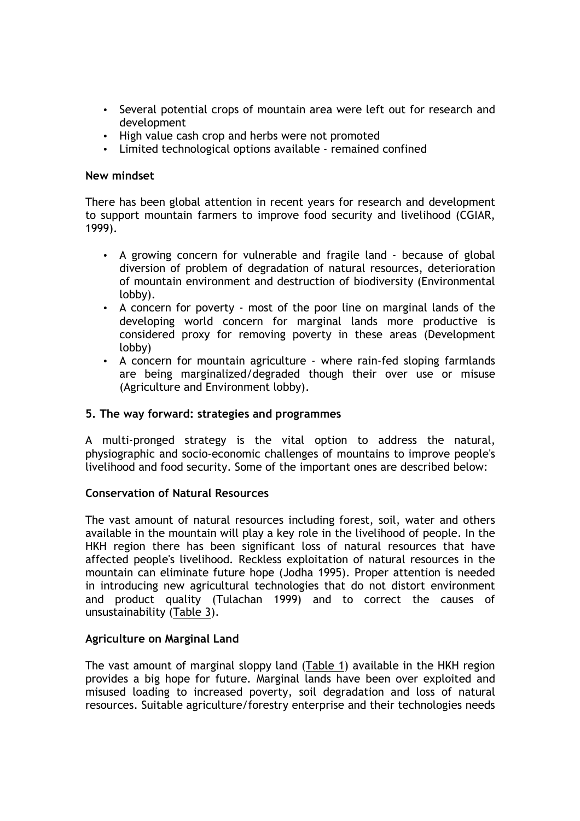- Several potential crops of mountain area were left out for research and development
- High value cash crop and herbs were not promoted
- Limited technological options available remained confined

### **New mindset**

There has been global attention in recent years for research and development to support mountain farmers to improve food security and livelihood (CGIAR, 1999).

- A growing concern for vulnerable and fragile land because of global diversion of problem of degradation of natural resources, deterioration of mountain environment and destruction of biodiversity (Environmental lobby).
- A concern for poverty most of the poor line on marginal lands of the developing world concern for marginal lands more productive is considered proxy for removing poverty in these areas (Development lobby)
- A concern for mountain agriculture where rain-fed sloping farmlands are being marginalized/degraded though their over use or misuse (Agriculture and Environment lobby).

### **5. The way forward: strategies and programmes**

A multi-pronged strategy is the vital option to address the natural, physiographic and socio-economic challenges of mountains to improve people's livelihood and food security. Some of the important ones are described below:

# **Conservation of Natural Resources**

The vast amount of natural resources including forest, soil, water and others available in the mountain will play a key role in the livelihood of people. In the HKH region there has been significant loss of natural resources that have affected people's livelihood. Reckless exploitation of natural resources in the mountain can eliminate future hope (Jodha 1995). Proper attention is needed in introducing new agricultural technologies that do not distort environment and product quality (Tulachan 1999) and to correct the causes of unsustainability (Table 3).

# **Agriculture on Marginal Land**

The vast amount of marginal sloppy land (Table 1) available in the HKH region provides a big hope for future. Marginal lands have been over exploited and misused loading to increased poverty, soil degradation and loss of natural resources. Suitable agriculture/forestry enterprise and their technologies needs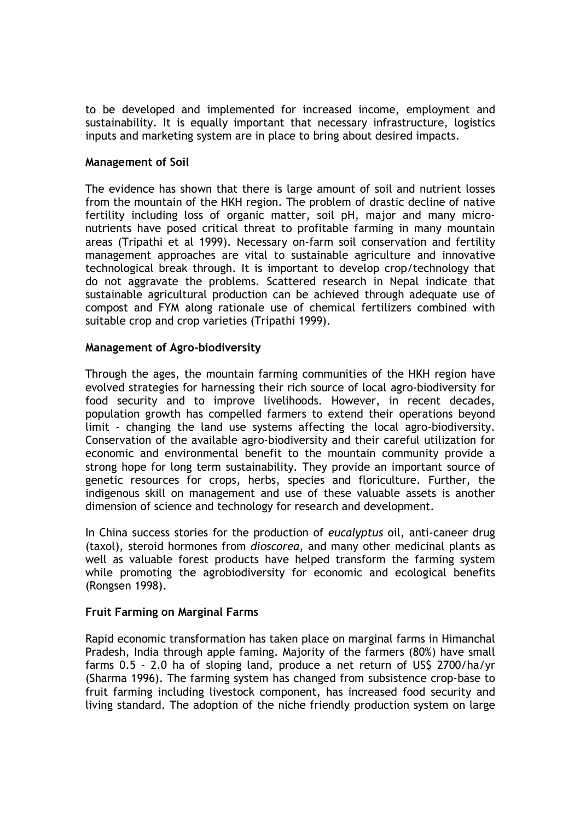to be developed and implemented for increased income, employment and sustainability. It is equally important that necessary infrastructure, logistics inputs and marketing system are in place to bring about desired impacts.

### **Management of Soil**

The evidence has shown that there is large amount of soil and nutrient losses from the mountain of the HKH region. The problem of drastic decline of native fertility including loss of organic matter, soil pH, major and many micronutrients have posed critical threat to profitable farming in many mountain areas (Tripathi et al 1999). Necessary on-farm soil conservation and fertility management approaches are vital to sustainable agriculture and innovative technological break through. It is important to develop crop/technology that do not aggravate the problems. Scattered research in Nepal indicate that sustainable agricultural production can be achieved through adequate use of compost and FYM along rationale use of chemical fertilizers combined with suitable crop and crop varieties (Tripathi 1999).

### **Management of Agro-biodiversity**

Through the ages, the mountain farming communities of the HKH region have evolved strategies for harnessing their rich source of local agro-biodiversity for food security and to improve livelihoods. However, in recent decades, population growth has compelled farmers to extend their operations beyond limit - changing the land use systems affecting the local agro-biodiversity. Conservation of the available agro-biodiversity and their careful utilization for economic and environmental benefit to the mountain community provide a strong hope for long term sustainability. They provide an important source of genetic resources for crops, herbs, species and floriculture. Further, the indigenous skill on management and use of these valuable assets is another dimension of science and technology for research and development.

In China success stories for the production of *eucalyptus* oil, anti-caneer drug (taxol), steroid hormones from *dioscorea*, and many other medicinal plants as well as valuable forest products have helped transform the farming system while promoting the agrobiodiversity for economic and ecological benefits (Rongsen 1998).

# **Fruit Farming on Marginal Farms**

Rapid economic transformation has taken place on marginal farms in Himanchal Pradesh, India through apple faming. Majority of the farmers (80%) have small farms 0.5 - 2.0 ha of sloping land, produce a net return of US\$ 2700/ha/yr (Sharma 1996). The farming system has changed from subsistence crop-base to fruit farming including livestock component, has increased food security and living standard. The adoption of the niche friendly production system on large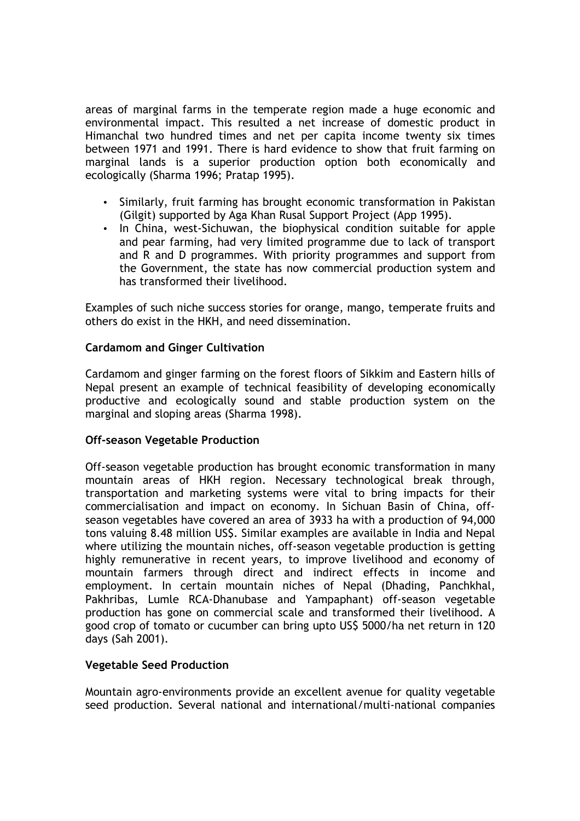areas of marginal farms in the temperate region made a huge economic and environmental impact. This resulted a net increase of domestic product in Himanchal two hundred times and net per capita income twenty six times between 1971 and 1991. There is hard evidence to show that fruit farming on marginal lands is a superior production option both economically and ecologically (Sharma 1996; Pratap 1995).

- Similarly, fruit farming has brought economic transformation in Pakistan (Gilgit) supported by Aga Khan Rusal Support Project (App 1995).
- In China, west-Sichuwan, the biophysical condition suitable for apple and pear farming, had very limited programme due to lack of transport and R and D programmes. With priority programmes and support from the Government, the state has now commercial production system and has transformed their livelihood.

Examples of such niche success stories for orange, mango, temperate fruits and others do exist in the HKH, and need dissemination.

# **Cardamom and Ginger Cultivation**

Cardamom and ginger farming on the forest floors of Sikkim and Eastern hills of Nepal present an example of technical feasibility of developing economically productive and ecologically sound and stable production system on the marginal and sloping areas (Sharma 1998).

# **Off-season Vegetable Production**

Off-season vegetable production has brought economic transformation in many mountain areas of HKH region. Necessary technological break through, transportation and marketing systems were vital to bring impacts for their commercialisation and impact on economy. In Sichuan Basin of China, offseason vegetables have covered an area of 3933 ha with a production of 94,000 tons valuing 8.48 million US\$. Similar examples are available in India and Nepal where utilizing the mountain niches, off-season vegetable production is getting highly remunerative in recent years, to improve livelihood and economy of mountain farmers through direct and indirect effects in income and employment. In certain mountain niches of Nepal (Dhading, Panchkhal, Pakhribas, Lumle RCA-Dhanubase and Yampaphant) off-season vegetable production has gone on commercial scale and transformed their livelihood. A good crop of tomato or cucumber can bring upto US\$ 5000/ha net return in 120 days (Sah 2001).

#### **Vegetable Seed Production**

Mountain agro-environments provide an excellent avenue for quality vegetable seed production. Several national and international/multi-national companies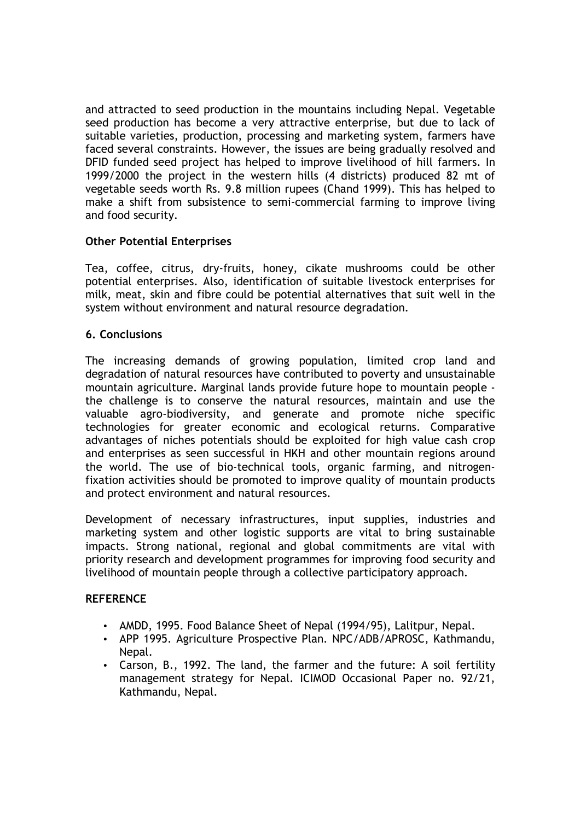and attracted to seed production in the mountains including Nepal. Vegetable seed production has become a very attractive enterprise, but due to lack of suitable varieties, production, processing and marketing system, farmers have faced several constraints. However, the issues are being gradually resolved and DFID funded seed project has helped to improve livelihood of hill farmers. In 1999/2000 the project in the western hills (4 districts) produced 82 mt of vegetable seeds worth Rs. 9.8 million rupees (Chand 1999). This has helped to make a shift from subsistence to semi-commercial farming to improve living and food security.

# **Other Potential Enterprises**

Tea, coffee, citrus, dry-fruits, honey, cikate mushrooms could be other potential enterprises. Also, identification of suitable livestock enterprises for milk, meat, skin and fibre could be potential alternatives that suit well in the system without environment and natural resource degradation.

### **6. Conclusions**

The increasing demands of growing population, limited crop land and degradation of natural resources have contributed to poverty and unsustainable mountain agriculture. Marginal lands provide future hope to mountain people the challenge is to conserve the natural resources, maintain and use the valuable agro-biodiversity, and generate and promote niche specific technologies for greater economic and ecological returns. Comparative advantages of niches potentials should be exploited for high value cash crop and enterprises as seen successful in HKH and other mountain regions around the world. The use of bio-technical tools, organic farming, and nitrogenfixation activities should be promoted to improve quality of mountain products and protect environment and natural resources.

Development of necessary infrastructures, input supplies, industries and marketing system and other logistic supports are vital to bring sustainable impacts. Strong national, regional and global commitments are vital with priority research and development programmes for improving food security and livelihood of mountain people through a collective participatory approach.

#### **REFERENCE**

- AMDD, 1995. Food Balance Sheet of Nepal (1994/95), Lalitpur, Nepal.
- APP 1995. Agriculture Prospective Plan. NPC/ADB/APROSC, Kathmandu, Nepal.
- Carson, B., 1992. The land, the farmer and the future: A soil fertility management strategy for Nepal. ICIMOD Occasional Paper no. 92/21, Kathmandu, Nepal.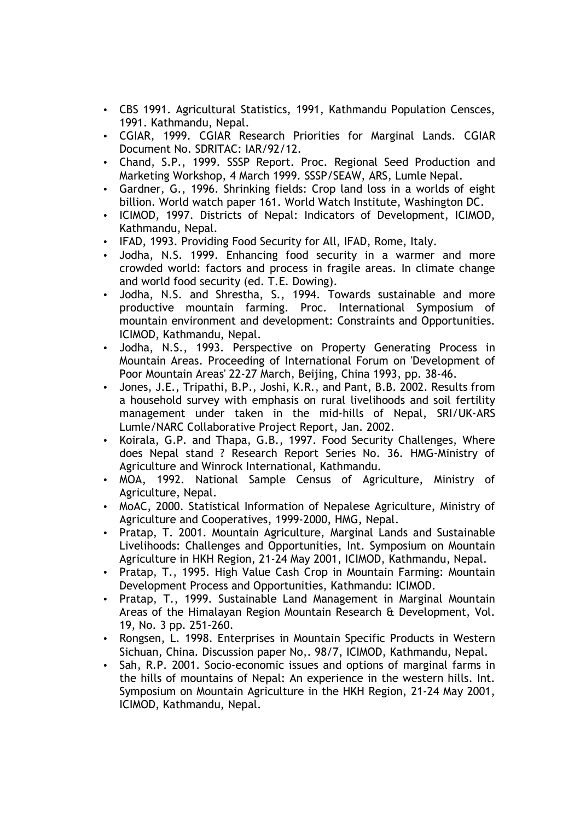- CBS 1991. Agricultural Statistics, 1991, Kathmandu Population Censces, 1991. Kathmandu, Nepal.
- CGIAR, 1999. CGIAR Research Priorities for Marginal Lands. CGIAR Document No. SDRITAC: IAR/92/12.
- Chand, S.P., 1999. SSSP Report. Proc. Regional Seed Production and Marketing Workshop, 4 March 1999. SSSP/SEAW, ARS, Lumle Nepal.
- Gardner, G., 1996. Shrinking fields: Crop land loss in a worlds of eight billion. World watch paper 161. World Watch Institute, Washington DC.
- ICIMOD, 1997. Districts of Nepal: Indicators of Development, ICIMOD, Kathmandu, Nepal.
- IFAD, 1993. Providing Food Security for All, IFAD, Rome, Italy.
- Jodha, N.S. 1999. Enhancing food security in a warmer and more crowded world: factors and process in fragile areas. In climate change and world food security (ed. T.E. Dowing).
- Jodha, N.S. and Shrestha, S., 1994. Towards sustainable and more productive mountain farming. Proc. International Symposium of mountain environment and development: Constraints and Opportunities. ICIMOD, Kathmandu, Nepal.
- Jodha, N.S., 1993. Perspective on Property Generating Process in Mountain Areas. Proceeding of International Forum on 'Development of Poor Mountain Areas' 22-27 March, Beijing, China 1993, pp. 38-46.
- Jones, J.E., Tripathi, B.P., Joshi, K.R., and Pant, B.B. 2002. Results from a household survey with emphasis on rural livelihoods and soil fertility management under taken in the mid-hills of Nepal, SRI/UK-ARS Lumle/NARC Collaborative Project Report, Jan. 2002.
- Koirala, G.P. and Thapa, G.B., 1997. Food Security Challenges, Where does Nepal stand ? Research Report Series No. 36. HMG-Ministry of Agriculture and Winrock International, Kathmandu.
- MOA, 1992. National Sample Census of Agriculture, Ministry of Agriculture, Nepal.
- MoAC, 2000. Statistical Information of Nepalese Agriculture, Ministry of Agriculture and Cooperatives, 1999-2000, HMG, Nepal.
- Pratap, T. 2001. Mountain Agriculture, Marginal Lands and Sustainable Livelihoods: Challenges and Opportunities, Int. Symposium on Mountain Agriculture in HKH Region, 21-24 May 2001, ICIMOD, Kathmandu, Nepal.
- Pratap, T., 1995. High Value Cash Crop in Mountain Farming: Mountain Development Process and Opportunities, Kathmandu: ICIMOD.
- Pratap, T., 1999. Sustainable Land Management in Marginal Mountain Areas of the Himalayan Region Mountain Research & Development, Vol. 19, No. 3 pp. 251-260.
- Rongsen, L. 1998. Enterprises in Mountain Specific Products in Western Sichuan, China. Discussion paper No,. 98/7, ICIMOD, Kathmandu, Nepal.
- Sah, R.P. 2001. Socio-economic issues and options of marginal farms in the hills of mountains of Nepal: An experience in the western hills. Int. Symposium on Mountain Agriculture in the HKH Region, 21-24 May 2001, ICIMOD, Kathmandu, Nepal.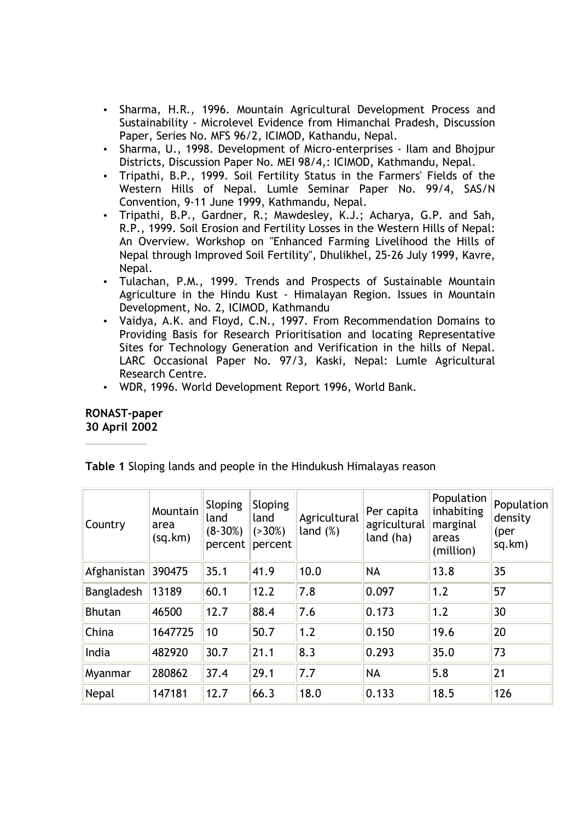- Sharma, H.R., 1996. Mountain Agricultural Development Process and Sustainability - Microlevel Evidence from Himanchal Pradesh, Discussion Paper, Series No. MFS 96/2, ICIMOD, Kathandu, Nepal.
- Sharma, U., 1998. Development of Micro-enterprises Ilam and Bhojpur Districts, Discussion Paper No. MEI 98/4,: ICIMOD, Kathmandu, Nepal.
- Tripathi, B.P., 1999. Soil Fertility Status in the Farmers' Fields of the Western Hills of Nepal. Lumle Seminar Paper No. 99/4, SAS/N Convention, 9-11 June 1999, Kathmandu, Nepal.
- Tripathi, B.P., Gardner, R.; Mawdesley, K.J.; Acharya, G.P. and Sah, R.P., 1999. Soil Erosion and Fertility Losses in the Western Hills of Nepal: An Overview. Workshop on "Enhanced Farming Livelihood the Hills of Nepal through Improved Soil Fertility", Dhulikhel, 25-26 July 1999, Kavre, Nepal.
- Tulachan, P.M., 1999. Trends and Prospects of Sustainable Mountain Agriculture in the Hindu Kust - Himalayan Region. Issues in Mountain Development, No. 2, ICIMOD, Kathmandu
- Vaidya, A.K. and Floyd, C.N., 1997. From Recommendation Domains to Providing Basis for Research Prioritisation and locating Representative Sites for Technology Generation and Verification in the hills of Nepal. LARC Occasional Paper No. 97/3, Kaski, Nepal: Lumle Agricultural Research Centre.
- WDR, 1996. World Development Report 1996, World Bank.

### **RONAST-paper 30 April 2002**

| Country           | Mountain<br>area<br>(sq.km) | Sloping<br>land<br>$(8-30%)$<br>percent | Sloping<br>land<br>$( > 30\%)$<br>percent | Agricultural<br>land $(\%)$ | Per capita<br>agricultural<br>land (ha) | Population<br>inhabiting<br>marginal<br>areas<br>(million) | Population<br>density<br>(per<br>sq.km) |
|-------------------|-----------------------------|-----------------------------------------|-------------------------------------------|-----------------------------|-----------------------------------------|------------------------------------------------------------|-----------------------------------------|
| Afghanistan       | 390475                      | 35.1                                    | 41.9                                      | 10.0                        | <b>NA</b>                               | 13.8                                                       | 35                                      |
| <b>Bangladesh</b> | 13189                       | 60.1                                    | 12.2                                      | 7.8                         | 0.097                                   | 1.2                                                        | 57                                      |
| <b>Bhutan</b>     | 46500                       | 12.7                                    | 88.4                                      | 7.6                         | 0.173                                   | 1.2                                                        | 30                                      |
| China             | 1647725                     | 10                                      | 50.7                                      | 1.2                         | 0.150                                   | 19.6                                                       | 20                                      |
| India             | 482920                      | 30.7                                    | 21.1                                      | 8.3                         | 0.293                                   | 35.0                                                       | 73                                      |
| Myanmar           | 280862                      | 37.4                                    | 29.1                                      | 7.7                         | <b>NA</b>                               | 5.8                                                        | 21                                      |
| Nepal             | 147181                      | 12.7                                    | 66.3                                      | 18.0                        | 0.133                                   | 18.5                                                       | 126                                     |

**Table 1** Sloping lands and people in the Hindukush Himalayas reason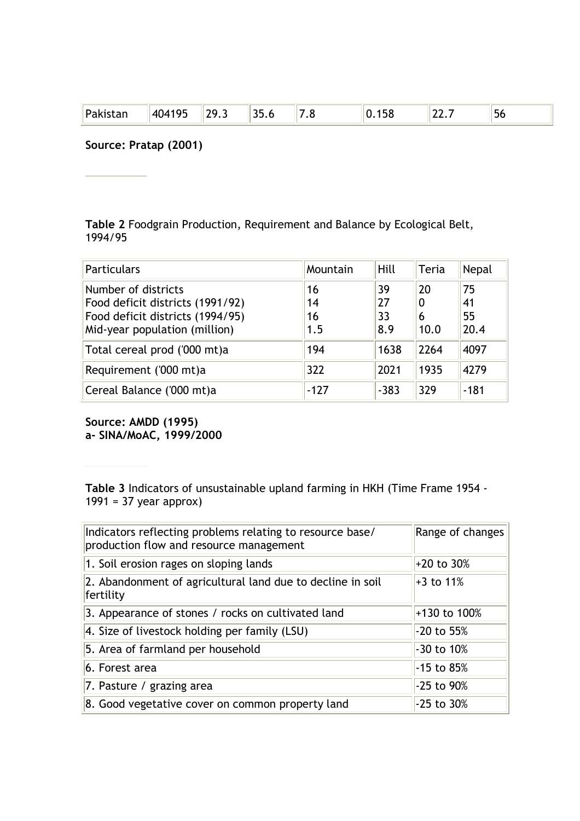| Pal<br>$- - -$<br>ildi | $\sqrt{2}$<br>⊥40419F | າດ<br><u>_ , , ,</u> | つに<br>JJ.U | . . | эс | $\sim$<br>LL . / |  |
|------------------------|-----------------------|----------------------|------------|-----|----|------------------|--|
|                        |                       |                      |            |     |    |                  |  |

**Source: Pratap (2001)**

**Table 2** Foodgrain Production, Requirement and Balance by Ecological Belt, 1994/95

| <b>Particulars</b>                                                                                                           | Mountain              | Hill                  | Teria                | Nepal                  |
|------------------------------------------------------------------------------------------------------------------------------|-----------------------|-----------------------|----------------------|------------------------|
| Number of districts<br>Food deficit districts (1991/92)<br>Food deficit districts (1994/95)<br>Mid-year population (million) | 16<br>14<br>16<br>1.5 | 39<br>27<br>33<br>8.9 | 20<br>0<br>6<br>10.0 | 75<br>41<br>55<br>20.4 |
| Total cereal prod ('000 mt)a                                                                                                 | 194                   | 1638                  | 2264                 | 4097                   |
| Requirement ('000 mt)a                                                                                                       | 322                   | 2021                  | 1935                 | 4279                   |
| Cereal Balance ('000 mt)a                                                                                                    | $-127$                | $-383$                | 329                  | $-181$                 |

**Source: AMDD (1995) a- SINA/MoAC, 1999/2000**

<u> 1999 - Johann Barnett, f</u>

**Table 3** Indicators of unsustainable upland farming in HKH (Time Frame 1954 - 1991 = 37 year approx)

| Indicators reflecting problems relating to resource base/<br>production flow and resource management | Range of changes |
|------------------------------------------------------------------------------------------------------|------------------|
| 1. Soil erosion rages on sloping lands                                                               | $+20$ to 30%     |
| 2. Abandonment of agricultural land due to decline in soil<br>fertility                              | $+3$ to 11%      |
| 3. Appearance of stones / rocks on cultivated land                                                   | +130 to 100%     |
| 4. Size of livestock holding per family (LSU)                                                        | $-20$ to 55%     |
| 5. Area of farmland per household                                                                    | $-30$ to 10%     |
| 6. Forest area                                                                                       | $-15$ to $85\%$  |
| 7. Pasture / grazing area                                                                            | -25 to 90%       |
| 8. Good vegetative cover on common property land                                                     | $-25$ to $30%$   |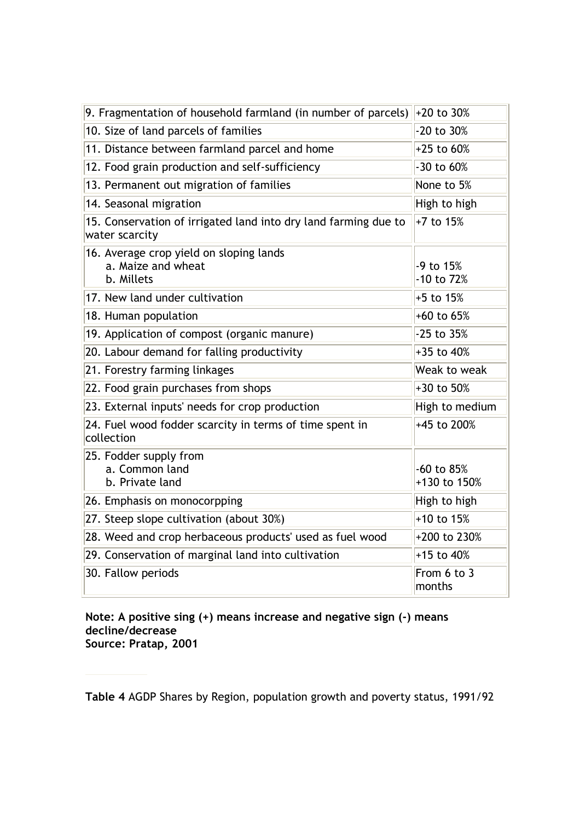| 9. Fragmentation of household farmland (in number of parcels) $\parallel$ +20 to 30% |                            |
|--------------------------------------------------------------------------------------|----------------------------|
| 10. Size of land parcels of families                                                 | -20 to 30%                 |
| 11. Distance between farmland parcel and home                                        | +25 to 60%                 |
| 12. Food grain production and self-sufficiency                                       | -30 to 60%                 |
| 13. Permanent out migration of families                                              | None to 5%                 |
| 14. Seasonal migration                                                               | High to high               |
| 15. Conservation of irrigated land into dry land farming due to<br>water scarcity    | +7 to 15%                  |
| 16. Average crop yield on sloping lands<br>a. Maize and wheat<br>b. Millets          | -9 to 15%<br>-10 to 72%    |
| 17. New land under cultivation                                                       | +5 to 15%                  |
| 18. Human population                                                                 | +60 to 65%                 |
| 19. Application of compost (organic manure)                                          | -25 to 35%                 |
| 20. Labour demand for falling productivity                                           | $+35$ to $40%$             |
| 21. Forestry farming linkages                                                        | Weak to weak               |
| 22. Food grain purchases from shops                                                  | +30 to 50%                 |
| 23. External inputs' needs for crop production                                       | High to medium             |
| 24. Fuel wood fodder scarcity in terms of time spent in<br>collection                | +45 to 200%                |
| 25. Fodder supply from<br>a. Common land<br>b. Private land                          | -60 to 85%<br>+130 to 150% |
| 26. Emphasis on monocorpping                                                         | High to high               |
| 27. Steep slope cultivation (about 30%)                                              | +10 to 15%                 |
| 28. Weed and crop herbaceous products' used as fuel wood                             | +200 to 230%               |
| 29. Conservation of marginal land into cultivation                                   | +15 to 40%                 |
| 30. Fallow periods                                                                   | From 6 to 3<br>months      |

**Note: A positive sing (+) means increase and negative sign (-) means decline/decrease Source: Pratap, 2001**

**Table 4** AGDP Shares by Region, population growth and poverty status, 1991/92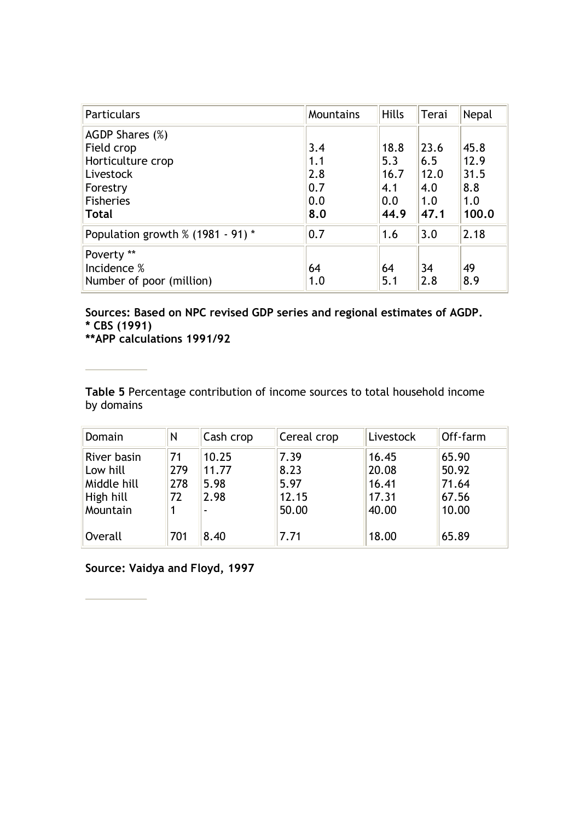| <b>Particulars</b>                                                                                                 | Mountains                              | <b>Hills</b>                              | Terai                                     | Nepal                                       |
|--------------------------------------------------------------------------------------------------------------------|----------------------------------------|-------------------------------------------|-------------------------------------------|---------------------------------------------|
| AGDP Shares $(\%)$<br>Field crop<br>Horticulture crop<br>Livestock<br>Forestry<br><b>Fisheries</b><br><b>Total</b> | 3.4<br>1.1<br>2.8<br>0.7<br>0.0<br>8.0 | 18.8<br>5.3<br>16.7<br>4.1<br>0.0<br>44.9 | 23.6<br>6.5<br>12.0<br>4.0<br>1.0<br>47.1 | 45.8<br>12.9<br>31.5<br>8.8<br>1.0<br>100.0 |
| Population growth $%$ (1981 - 91) $*$                                                                              | 0.7                                    | 1.6                                       | 3.0                                       | 2.18                                        |
| Poverty **<br>Incidence %<br>Number of poor (million)                                                              | 64<br>1.0                              | 64<br>5.1                                 | 34<br>2.8                                 | 49<br>8.9                                   |

**Sources: Based on NPC revised GDP series and regional estimates of AGDP. \* CBS (1991) \*\*APP calculations 1991/92**

**Table 5** Percentage contribution of income sources to total household income by domains

| Domain                                                          | Ν                      | Cash crop                      | Cereal crop                            | Livestock                                 | Off-farm                                  |
|-----------------------------------------------------------------|------------------------|--------------------------------|----------------------------------------|-------------------------------------------|-------------------------------------------|
| River basin<br>Low hill<br>Middle hill<br>High hill<br>Mountain | 71<br>279<br>278<br>72 | 10.25<br>11.77<br>5.98<br>2.98 | 7.39<br>8.23<br>5.97<br>12.15<br>50.00 | 16.45<br>20.08<br>16.41<br>17.31<br>40.00 | 65.90<br>50.92<br>71.64<br>67.56<br>10.00 |
| Overall                                                         | 701                    | 8.40                           | 7.71                                   | 18.00                                     | 65.89                                     |

**Source: Vaidya and Floyd, 1997**

<u> 1999 - Jan Barnett, politik e</u>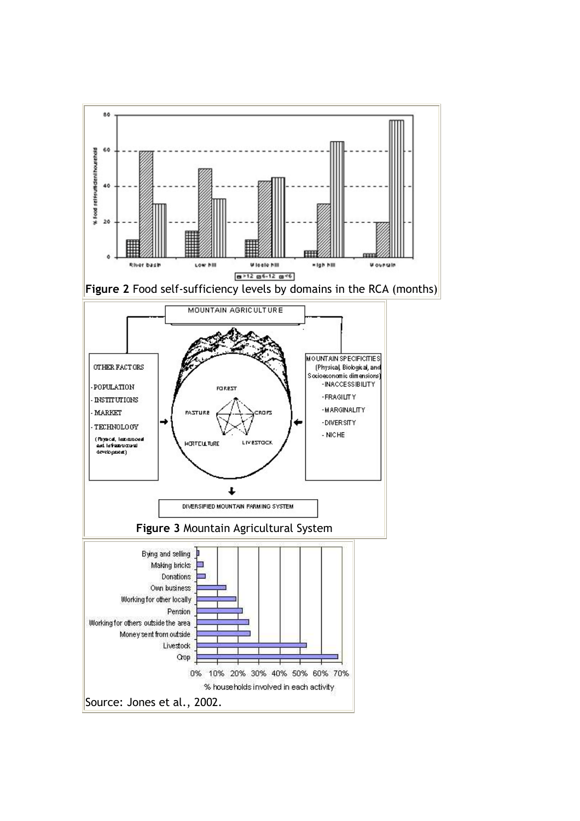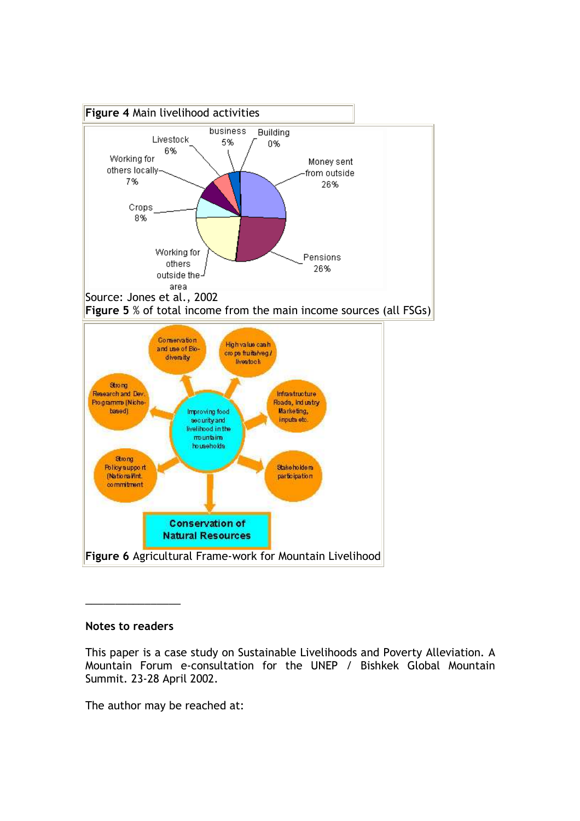

#### **Notes to readers**

This paper is a case study on Sustainable Livelihoods and Poverty Alleviation. A Mountain Forum e-consultation for the UNEP / Bishkek Global Mountain Summit. 23-28 April 2002.

The author may be reached at: